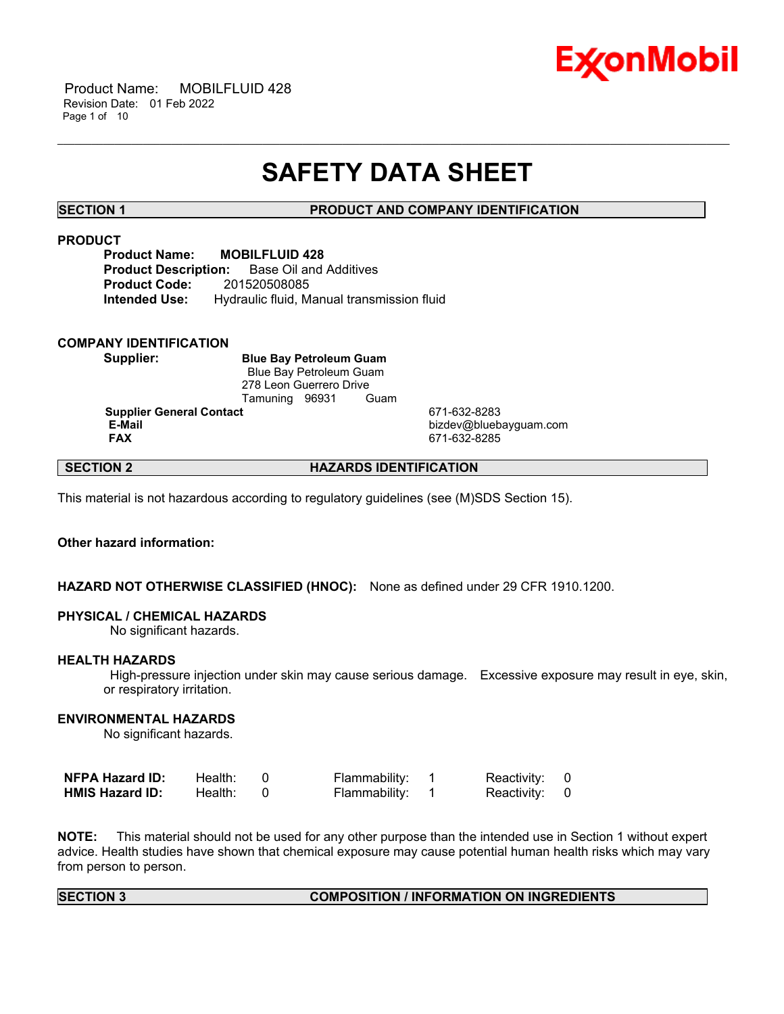

 Product Name: MOBILFLUID 428 Revision Date: 01 Feb 2022 Page 1 of 10

# **SAFETY DATA SHEET**

\_\_\_\_\_\_\_\_\_\_\_\_\_\_\_\_\_\_\_\_\_\_\_\_\_\_\_\_\_\_\_\_\_\_\_\_\_\_\_\_\_\_\_\_\_\_\_\_\_\_\_\_\_\_\_\_\_\_\_\_\_\_\_\_\_\_\_\_\_\_\_\_\_\_\_\_\_\_\_\_\_\_\_\_\_\_\_\_\_\_\_\_\_\_\_\_\_\_\_\_\_\_\_\_\_\_\_\_\_\_\_\_\_\_\_\_\_\_

**SECTION 1 PRODUCT AND COMPANY IDENTIFICATION**

#### **PRODUCT**

**Product Name: MOBILFLUID 428 Product Description:** Base Oil and Additives **Product Code:** 201520508085 **Intended Use:** Hydraulic fluid, Manual transmission fluid

#### **COMPANY IDENTIFICATION**

**Supplier: Blue Bay Petroleum Guam** Blue Bay Petroleum Guam 278 Leon Guerrero Drive Tamuning 96931 Guam

**Supplier General Contact** 671-632-8283

**E-Mail** bizdev@bluebayguam.com **FAX** 671-632-8285

### **SECTION 2 HAZARDS IDENTIFICATION**

This material is not hazardous according to regulatory guidelines (see (M)SDS Section 15).

#### **Other hazard information:**

#### **HAZARD NOT OTHERWISE CLASSIFIED (HNOC):** None as defined under 29 CFR 1910.1200.

#### **PHYSICAL / CHEMICAL HAZARDS**

No significant hazards.

#### **HEALTH HAZARDS**

High-pressure injection under skin may cause serious damage. Excessive exposure may result in eye, skin, or respiratory irritation.

#### **ENVIRONMENTAL HAZARDS**

No significant hazards.

| <b>NFPA Hazard ID:</b> | Health: | Flammability: | Reactivity: 0 |  |
|------------------------|---------|---------------|---------------|--|
| <b>HMIS Hazard ID:</b> | Health: | Flammability: | Reactivity: 0 |  |

**NOTE:** This material should not be used for any other purpose than the intended use in Section 1 without expert advice. Health studies have shown that chemical exposure may cause potential human health risks which may vary from person to person.

#### **SECTION 3 COMPOSITION / INFORMATION ON INGREDIENTS**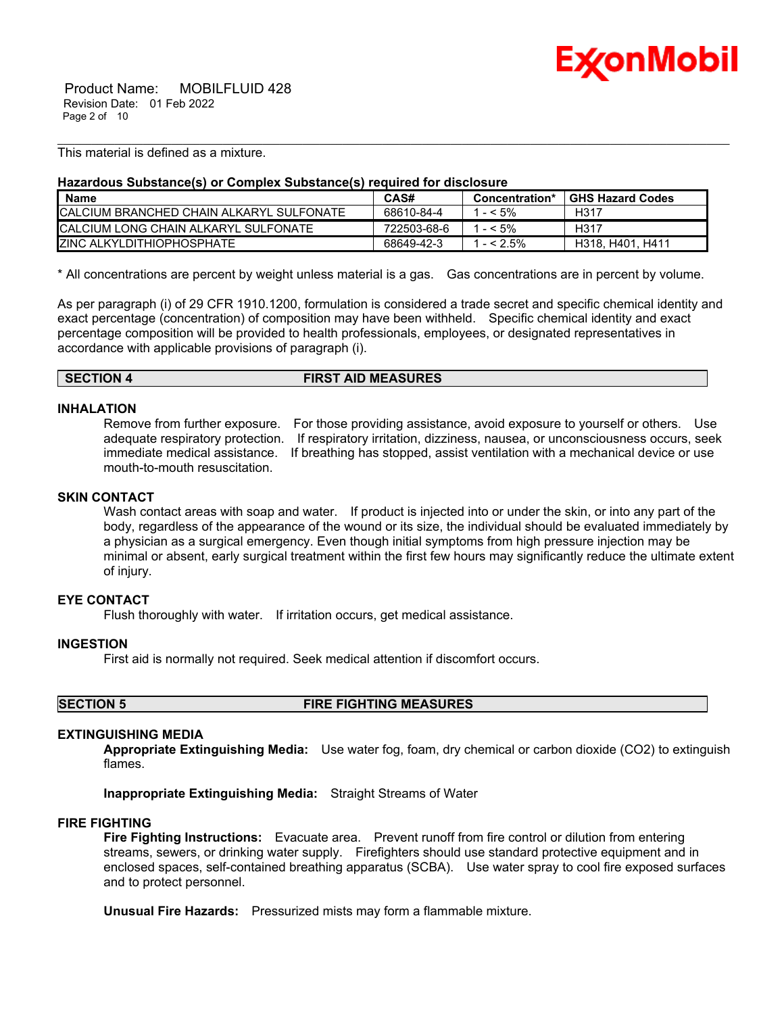

This material is defined as a mixture.

#### **Hazardous Substance(s) or Complex Substance(s) required for disclosure**

| <b>Name</b>                               | CAS#        | Concentration* | <b>GHS Hazard Codes</b> |
|-------------------------------------------|-------------|----------------|-------------------------|
| ICALCIUM BRANCHED CHAIN ALKARYL SULFONATE | 68610-84-4  | $- < 5\%$      | H317                    |
| ICALCIUM LONG CHAIN ALKARYL SULFONATE     | 722503-68-6 | $- < 5\%$      | H317                    |
| <b>IZINC ALKYLDITHIOPHOSPHATE</b>         | 68649-42-3  | $- < 2.5\%$    | H318, H401, H411        |

\_\_\_\_\_\_\_\_\_\_\_\_\_\_\_\_\_\_\_\_\_\_\_\_\_\_\_\_\_\_\_\_\_\_\_\_\_\_\_\_\_\_\_\_\_\_\_\_\_\_\_\_\_\_\_\_\_\_\_\_\_\_\_\_\_\_\_\_\_\_\_\_\_\_\_\_\_\_\_\_\_\_\_\_\_\_\_\_\_\_\_\_\_\_\_\_\_\_\_\_\_\_\_\_\_\_\_\_\_\_\_\_\_\_\_\_\_\_

\* All concentrations are percent by weight unless material is a gas. Gas concentrations are in percent by volume.

As per paragraph (i) of 29 CFR 1910.1200, formulation is considered a trade secret and specific chemical identity and exact percentage (concentration) of composition may have been withheld. Specific chemical identity and exact percentage composition will be provided to health professionals, employees, or designated representatives in accordance with applicable provisions of paragraph (i).

| <b>FIRST AID MEASURES</b><br><b>SECTION 4</b> |  |
|-----------------------------------------------|--|
|-----------------------------------------------|--|

#### **INHALATION**

Remove from further exposure. For those providing assistance, avoid exposure to yourself or others. Use adequate respiratory protection. If respiratory irritation, dizziness, nausea, or unconsciousness occurs, seek immediate medical assistance. If breathing has stopped, assist ventilation with a mechanical device or use mouth-to-mouth resuscitation.

### **SKIN CONTACT**

Wash contact areas with soap and water. If product is injected into or under the skin, or into any part of the body, regardless of the appearance of the wound or its size, the individual should be evaluated immediately by a physician as a surgical emergency. Even though initial symptoms from high pressure injection may be minimal or absent, early surgical treatment within the first few hours may significantly reduce the ultimate extent of injury.

#### **EYE CONTACT**

Flush thoroughly with water. If irritation occurs, get medical assistance.

#### **INGESTION**

First aid is normally not required. Seek medical attention if discomfort occurs.

**SECTION 5 FIRE FIGHTING MEASURES**

#### **EXTINGUISHING MEDIA**

**Appropriate Extinguishing Media:** Use water fog, foam, dry chemical or carbon dioxide (CO2) to extinguish flames.

**Inappropriate Extinguishing Media:** Straight Streams of Water

#### **FIRE FIGHTING**

**Fire Fighting Instructions:** Evacuate area. Prevent runoff from fire control or dilution from entering streams, sewers, or drinking water supply. Firefighters should use standard protective equipment and in enclosed spaces, self-contained breathing apparatus (SCBA). Use water spray to cool fire exposed surfaces and to protect personnel.

**Unusual Fire Hazards:** Pressurized mists may form a flammable mixture.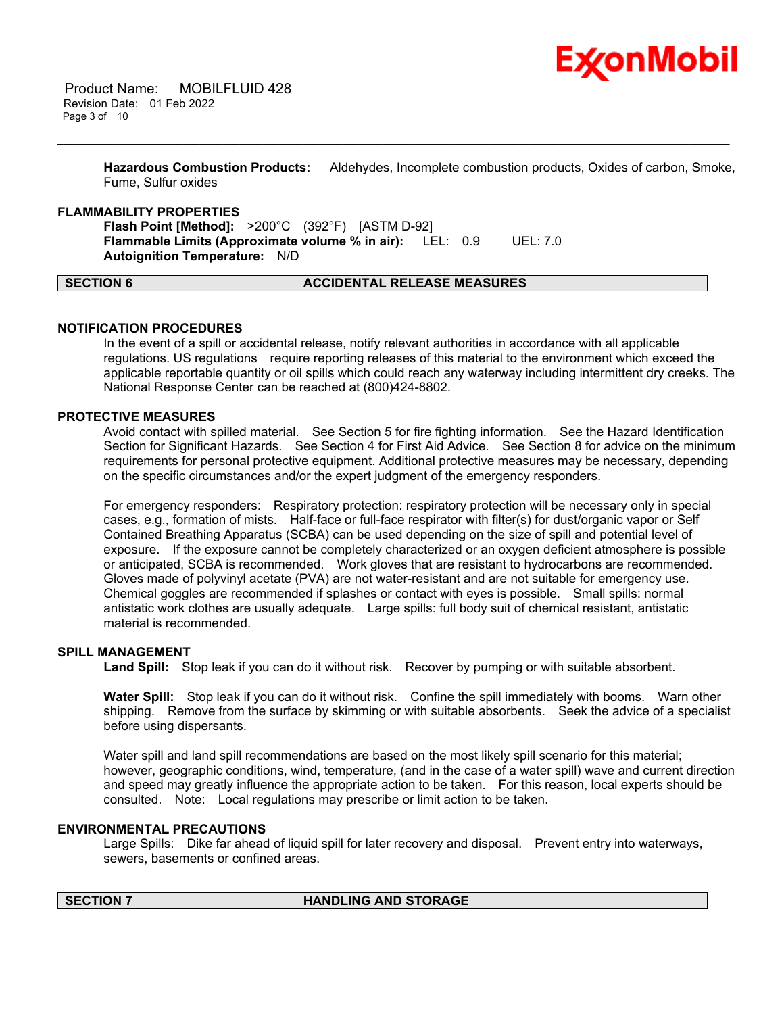

**Hazardous Combustion Products:** Aldehydes, Incomplete combustion products, Oxides of carbon, Smoke, Fume, Sulfur oxides

\_\_\_\_\_\_\_\_\_\_\_\_\_\_\_\_\_\_\_\_\_\_\_\_\_\_\_\_\_\_\_\_\_\_\_\_\_\_\_\_\_\_\_\_\_\_\_\_\_\_\_\_\_\_\_\_\_\_\_\_\_\_\_\_\_\_\_\_\_\_\_\_\_\_\_\_\_\_\_\_\_\_\_\_\_\_\_\_\_\_\_\_\_\_\_\_\_\_\_\_\_\_\_\_\_\_\_\_\_\_\_\_\_\_\_\_\_\_

#### **FLAMMABILITY PROPERTIES**

**Flash Point [Method]:** >200°C (392°F) [ASTM D-92] **Flammable Limits (Approximate volume % in air):** LEL: 0.9 UEL: 7.0 **Autoignition Temperature:** N/D

#### **SECTION 6 ACCIDENTAL RELEASE MEASURES**

#### **NOTIFICATION PROCEDURES**

In the event of a spill or accidental release, notify relevant authorities in accordance with all applicable regulations. US regulations require reporting releases of this material to the environment which exceed the applicable reportable quantity or oil spills which could reach any waterway including intermittent dry creeks. The National Response Center can be reached at (800)424-8802.

### **PROTECTIVE MEASURES**

Avoid contact with spilled material. See Section 5 for fire fighting information. See the Hazard Identification Section for Significant Hazards. See Section 4 for First Aid Advice. See Section 8 for advice on the minimum requirements for personal protective equipment. Additional protective measures may be necessary, depending on the specific circumstances and/or the expert judgment of the emergency responders.

For emergency responders: Respiratory protection: respiratory protection will be necessary only in special cases, e.g., formation of mists. Half-face or full-face respirator with filter(s) for dust/organic vapor or Self Contained Breathing Apparatus (SCBA) can be used depending on the size of spill and potential level of exposure. If the exposure cannot be completely characterized or an oxygen deficient atmosphere is possible or anticipated, SCBA is recommended. Work gloves that are resistant to hydrocarbons are recommended. Gloves made of polyvinyl acetate (PVA) are not water-resistant and are not suitable for emergency use. Chemical goggles are recommended if splashes or contact with eyes is possible. Small spills: normal antistatic work clothes are usually adequate. Large spills: full body suit of chemical resistant, antistatic material is recommended.

#### **SPILL MANAGEMENT**

**Land Spill:** Stop leak if you can do it without risk. Recover by pumping or with suitable absorbent.

**Water Spill:** Stop leak if you can do it without risk. Confine the spill immediately with booms. Warn other shipping. Remove from the surface by skimming or with suitable absorbents. Seek the advice of a specialist before using dispersants.

Water spill and land spill recommendations are based on the most likely spill scenario for this material; however, geographic conditions, wind, temperature, (and in the case of a water spill) wave and current direction and speed may greatly influence the appropriate action to be taken. For this reason, local experts should be consulted. Note: Local regulations may prescribe or limit action to be taken.

#### **ENVIRONMENTAL PRECAUTIONS**

Large Spills: Dike far ahead of liquid spill for later recovery and disposal. Prevent entry into waterways, sewers, basements or confined areas.

#### **SECTION 7 HANDLING AND STORAGE**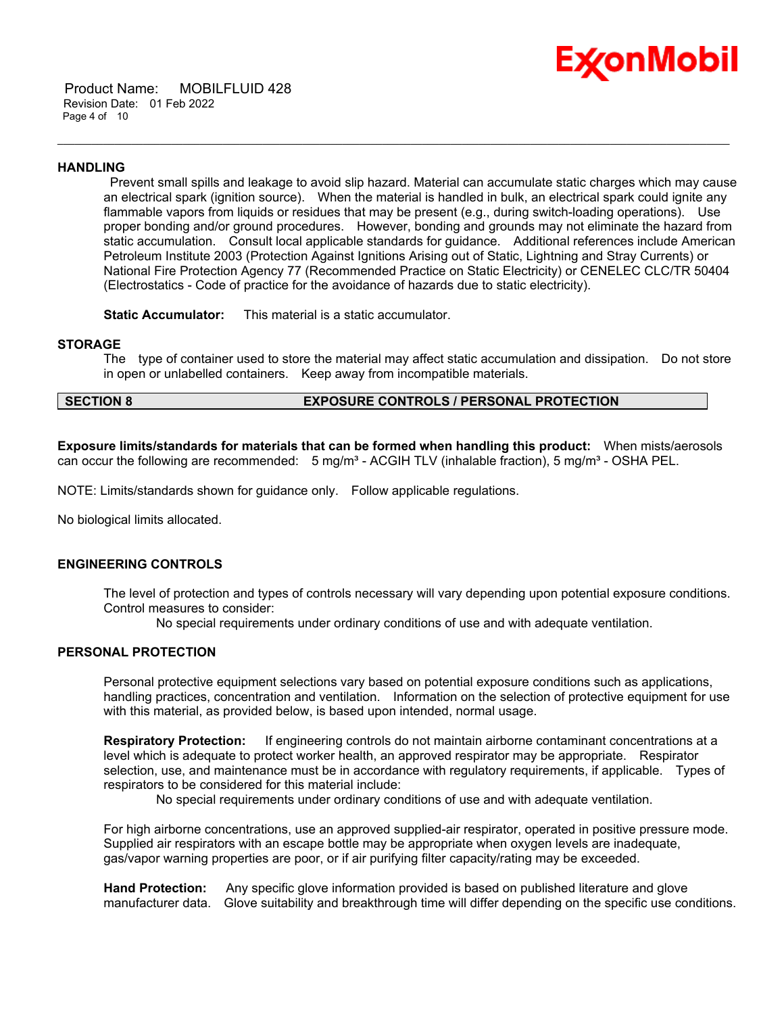

 Product Name: MOBILFLUID 428 Revision Date: 01 Feb 2022 Page 4 of 10

#### **HANDLING**

Prevent small spills and leakage to avoid slip hazard. Material can accumulate static charges which may cause an electrical spark (ignition source). When the material is handled in bulk, an electrical spark could ignite any flammable vapors from liquids or residues that may be present (e.g., during switch-loading operations). Use proper bonding and/or ground procedures. However, bonding and grounds may not eliminate the hazard from static accumulation. Consult local applicable standards for guidance. Additional references include American Petroleum Institute 2003 (Protection Against Ignitions Arising out of Static, Lightning and Stray Currents) or National Fire Protection Agency 77 (Recommended Practice on Static Electricity) or CENELEC CLC/TR 50404 (Electrostatics - Code of practice for the avoidance of hazards due to static electricity).

\_\_\_\_\_\_\_\_\_\_\_\_\_\_\_\_\_\_\_\_\_\_\_\_\_\_\_\_\_\_\_\_\_\_\_\_\_\_\_\_\_\_\_\_\_\_\_\_\_\_\_\_\_\_\_\_\_\_\_\_\_\_\_\_\_\_\_\_\_\_\_\_\_\_\_\_\_\_\_\_\_\_\_\_\_\_\_\_\_\_\_\_\_\_\_\_\_\_\_\_\_\_\_\_\_\_\_\_\_\_\_\_\_\_\_\_\_\_

**Static Accumulator:** This material is a static accumulator.

#### **STORAGE**

The type of container used to store the material may affect static accumulation and dissipation. Do not store in open or unlabelled containers. Keep away from incompatible materials.

### **SECTION 8 EXPOSURE CONTROLS / PERSONAL PROTECTION**

**Exposure limits/standards for materials that can be formed when handling this product:** When mists/aerosols can occur the following are recommended:  $5 \text{ mg/m}^3$  - ACGIH TLV (inhalable fraction),  $5 \text{ mg/m}^3$  - OSHA PEL.

NOTE: Limits/standards shown for guidance only. Follow applicable regulations.

No biological limits allocated.

#### **ENGINEERING CONTROLS**

The level of protection and types of controls necessary will vary depending upon potential exposure conditions. Control measures to consider:

No special requirements under ordinary conditions of use and with adequate ventilation.

#### **PERSONAL PROTECTION**

Personal protective equipment selections vary based on potential exposure conditions such as applications, handling practices, concentration and ventilation. Information on the selection of protective equipment for use with this material, as provided below, is based upon intended, normal usage.

**Respiratory Protection:** If engineering controls do not maintain airborne contaminant concentrations at a level which is adequate to protect worker health, an approved respirator may be appropriate. Respirator selection, use, and maintenance must be in accordance with regulatory requirements, if applicable. Types of respirators to be considered for this material include:

No special requirements under ordinary conditions of use and with adequate ventilation.

For high airborne concentrations, use an approved supplied-air respirator, operated in positive pressure mode. Supplied air respirators with an escape bottle may be appropriate when oxygen levels are inadequate, gas/vapor warning properties are poor, or if air purifying filter capacity/rating may be exceeded.

**Hand Protection:** Any specific glove information provided is based on published literature and glove manufacturer data. Glove suitability and breakthrough time will differ depending on the specific use conditions.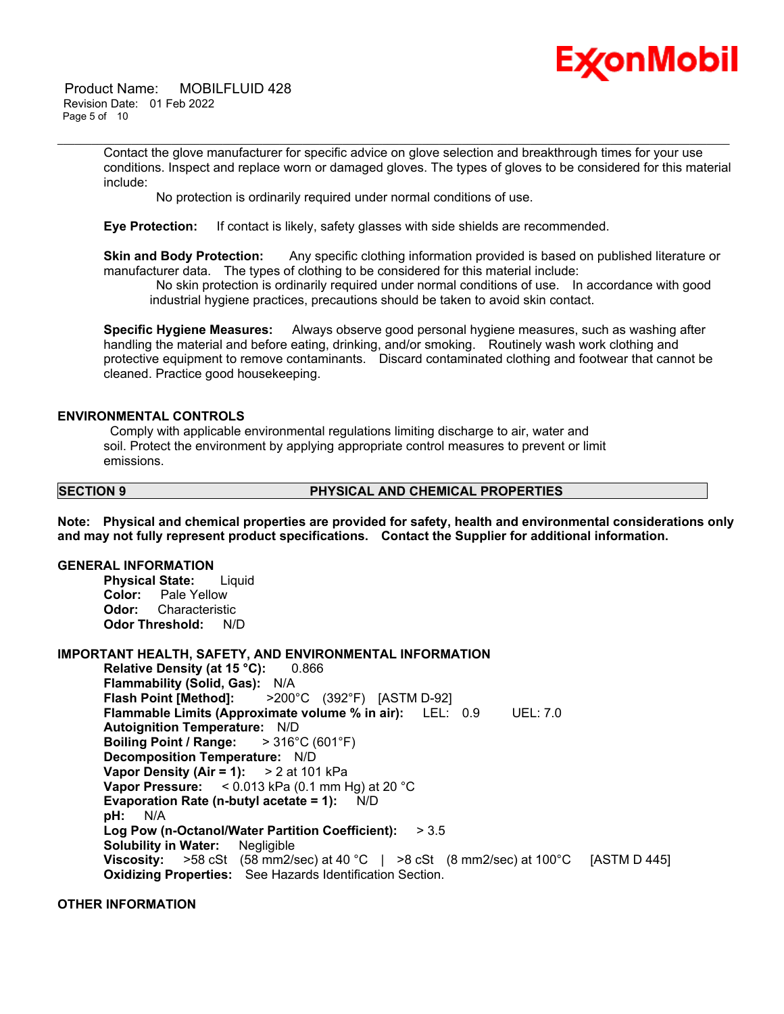

 Product Name: MOBILFLUID 428 Revision Date: 01 Feb 2022 Page 5 of 10

> Contact the glove manufacturer for specific advice on glove selection and breakthrough times for your use conditions. Inspect and replace worn or damaged gloves. The types of gloves to be considered for this material include:

\_\_\_\_\_\_\_\_\_\_\_\_\_\_\_\_\_\_\_\_\_\_\_\_\_\_\_\_\_\_\_\_\_\_\_\_\_\_\_\_\_\_\_\_\_\_\_\_\_\_\_\_\_\_\_\_\_\_\_\_\_\_\_\_\_\_\_\_\_\_\_\_\_\_\_\_\_\_\_\_\_\_\_\_\_\_\_\_\_\_\_\_\_\_\_\_\_\_\_\_\_\_\_\_\_\_\_\_\_\_\_\_\_\_\_\_\_\_

No protection is ordinarily required under normal conditions of use.

**Eye Protection:** If contact is likely, safety glasses with side shields are recommended.

**Skin and Body Protection:** Any specific clothing information provided is based on published literature or manufacturer data. The types of clothing to be considered for this material include:

No skin protection is ordinarily required under normal conditions of use. In accordance with good industrial hygiene practices, precautions should be taken to avoid skin contact.

**Specific Hygiene Measures:** Always observe good personal hygiene measures, such as washing after handling the material and before eating, drinking, and/or smoking. Routinely wash work clothing and protective equipment to remove contaminants. Discard contaminated clothing and footwear that cannot be cleaned. Practice good housekeeping.

#### **ENVIRONMENTAL CONTROLS**

Comply with applicable environmental regulations limiting discharge to air, water and soil. Protect the environment by applying appropriate control measures to prevent or limit emissions.

#### **SECTION 9 PHYSICAL AND CHEMICAL PROPERTIES**

**Note: Physical and chemical properties are provided for safety, health and environmental considerations only and may not fully represent product specifications. Contact the Supplier for additional information.**

#### **GENERAL INFORMATION**

**Physical State:** Liquid **Color:** Pale Yellow **Odor:** Characteristic **Odor Threshold:** N/D

#### **IMPORTANT HEALTH, SAFETY, AND ENVIRONMENTAL INFORMATION**

**Relative Density (at 15 °C):** 0.866 **Flammability (Solid, Gas):** N/A **Flash Point [Method]:** >200°C (392°F) [ASTM D-92] **Flammable Limits (Approximate volume % in air):** LEL: 0.9 UEL: 7.0 **Autoignition Temperature:** N/D **Boiling Point / Range:** > 316°C (601°F) **Decomposition Temperature:** N/D **Vapor Density (Air = 1):** > 2 at 101 kPa **Vapor Pressure:** < 0.013 kPa (0.1 mm Hg) at 20 °C **Evaporation Rate (n-butyl acetate = 1):** N/D **pH:** N/A **Log Pow (n-Octanol/Water Partition Coefficient):** > 3.5 **Solubility in Water:** Negligible **Viscosity:** >58 cSt (58 mm2/sec) at 40 °C | >8 cSt (8 mm2/sec) at 100 °C [ASTM D 445] **Oxidizing Properties:** See Hazards Identification Section.

### **OTHER INFORMATION**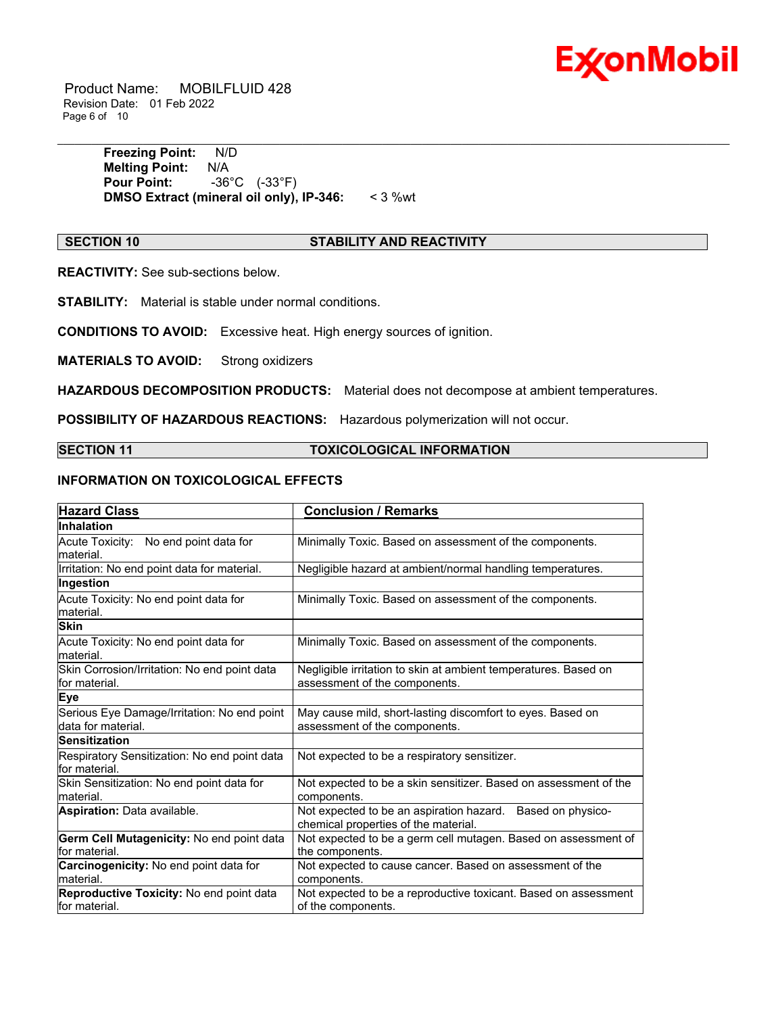

 Product Name: MOBILFLUID 428 Revision Date: 01 Feb 2022 Page 6 of 10

> **Freezing Point:** N/D **Melting Point:** N/A **Pour Point:** -36°C (-33°F) **DMSO Extract (mineral oil only), IP-346:** < 3 %wt

#### **SECTION 10 STABILITY AND REACTIVITY**

\_\_\_\_\_\_\_\_\_\_\_\_\_\_\_\_\_\_\_\_\_\_\_\_\_\_\_\_\_\_\_\_\_\_\_\_\_\_\_\_\_\_\_\_\_\_\_\_\_\_\_\_\_\_\_\_\_\_\_\_\_\_\_\_\_\_\_\_\_\_\_\_\_\_\_\_\_\_\_\_\_\_\_\_\_\_\_\_\_\_\_\_\_\_\_\_\_\_\_\_\_\_\_\_\_\_\_\_\_\_\_\_\_\_\_\_\_\_

**REACTIVITY:** See sub-sections below.

**STABILITY:** Material is stable under normal conditions.

**CONDITIONS TO AVOID:** Excessive heat. High energy sources of ignition.

**MATERIALS TO AVOID:** Strong oxidizers

**HAZARDOUS DECOMPOSITION PRODUCTS:** Material does not decompose at ambient temperatures.

**POSSIBILITY OF HAZARDOUS REACTIONS:** Hazardous polymerization will not occur.

### **SECTION 11 TOXICOLOGICAL INFORMATION**

### **INFORMATION ON TOXICOLOGICAL EFFECTS**

| <b>Hazard Class</b>                                               | <b>Conclusion / Remarks</b>                                                                        |
|-------------------------------------------------------------------|----------------------------------------------------------------------------------------------------|
| <b>Inhalation</b>                                                 |                                                                                                    |
| Acute Toxicity: No end point data for<br>material.                | Minimally Toxic. Based on assessment of the components.                                            |
| Irritation: No end point data for material.                       | Negligible hazard at ambient/normal handling temperatures.                                         |
| Ingestion                                                         |                                                                                                    |
| Acute Toxicity: No end point data for<br>material.                | Minimally Toxic. Based on assessment of the components.                                            |
| <b>Skin</b>                                                       |                                                                                                    |
| Acute Toxicity: No end point data for<br>lmaterial.               | Minimally Toxic. Based on assessment of the components.                                            |
| Skin Corrosion/Irritation: No end point data<br>for material.     | Negligible irritation to skin at ambient temperatures. Based on<br>assessment of the components.   |
| <b>Eye</b>                                                        |                                                                                                    |
| Serious Eye Damage/Irritation: No end point<br>data for material. | May cause mild, short-lasting discomfort to eyes. Based on<br>assessment of the components.        |
| <b>Sensitization</b>                                              |                                                                                                    |
| Respiratory Sensitization: No end point data<br>for material.     | Not expected to be a respiratory sensitizer.                                                       |
| Skin Sensitization: No end point data for<br>material.            | Not expected to be a skin sensitizer. Based on assessment of the<br>components.                    |
| Aspiration: Data available.                                       | Not expected to be an aspiration hazard. Based on physico-<br>chemical properties of the material. |
| Germ Cell Mutagenicity: No end point data<br>for material.        | Not expected to be a germ cell mutagen. Based on assessment of<br>the components.                  |
| Carcinogenicity: No end point data for<br>material.               | Not expected to cause cancer. Based on assessment of the<br>components.                            |
| Reproductive Toxicity: No end point data<br>for material.         | Not expected to be a reproductive toxicant. Based on assessment<br>of the components.              |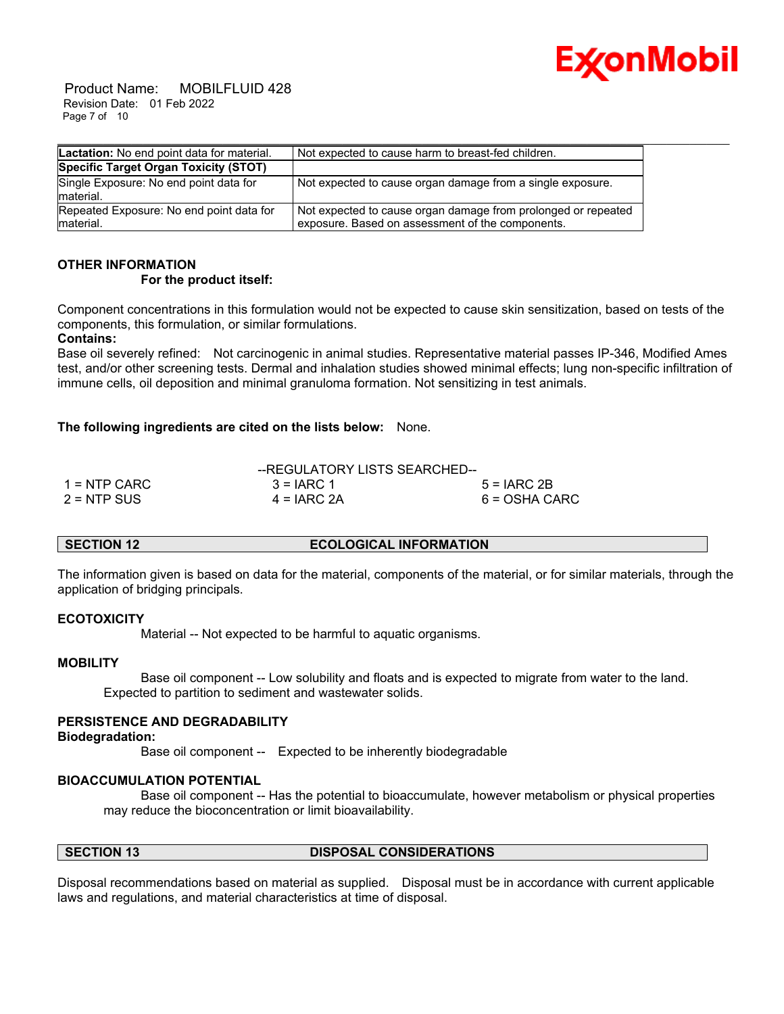

 Product Name: MOBILFLUID 428 Revision Date: 01 Feb 2022 Page 7 of 10

| Lactation: No end point data for material.            | Not expected to cause harm to breast-fed children.                                                                |
|-------------------------------------------------------|-------------------------------------------------------------------------------------------------------------------|
| Specific Target Organ Toxicity (STOT)                 |                                                                                                                   |
| Single Exposure: No end point data for<br>material.   | Not expected to cause organ damage from a single exposure.                                                        |
| Repeated Exposure: No end point data for<br>material. | Not expected to cause organ damage from prolonged or repeated<br>exposure. Based on assessment of the components. |

## **OTHER INFORMATION**

#### **For the product itself:**

Component concentrations in this formulation would not be expected to cause skin sensitization, based on tests of the components, this formulation, or similar formulations.

#### **Contains:**

Base oil severely refined: Not carcinogenic in animal studies. Representative material passes IP-346, Modified Ames test, and/or other screening tests. Dermal and inhalation studies showed minimal effects; lung non-specific infiltration of immune cells, oil deposition and minimal granuloma formation. Not sensitizing in test animals.

#### **The following ingredients are cited on the lists below:** None.

|                | --REGULATORY LISTS SEARCHED-- |               |
|----------------|-------------------------------|---------------|
| $1 =$ NTP CARC | $3 = IARC 1$                  | $5 = IARC2B$  |
| $2 = NTP$ SUS  | $4 = IARC 2A$                 | 6 = OSHA CARC |

### **SECTION 12 ECOLOGICAL INFORMATION**

The information given is based on data for the material, components of the material, or for similar materials, through the application of bridging principals.

#### **ECOTOXICITY**

Material -- Not expected to be harmful to aquatic organisms.

#### **MOBILITY**

 Base oil component -- Low solubility and floats and is expected to migrate from water to the land. Expected to partition to sediment and wastewater solids.

### **PERSISTENCE AND DEGRADABILITY**

**Biodegradation:**

Base oil component -- Expected to be inherently biodegradable

#### **BIOACCUMULATION POTENTIAL**

 Base oil component -- Has the potential to bioaccumulate, however metabolism or physical properties may reduce the bioconcentration or limit bioavailability.

### **SECTION 13 DISPOSAL CONSIDERATIONS**

Disposal recommendations based on material as supplied. Disposal must be in accordance with current applicable laws and regulations, and material characteristics at time of disposal.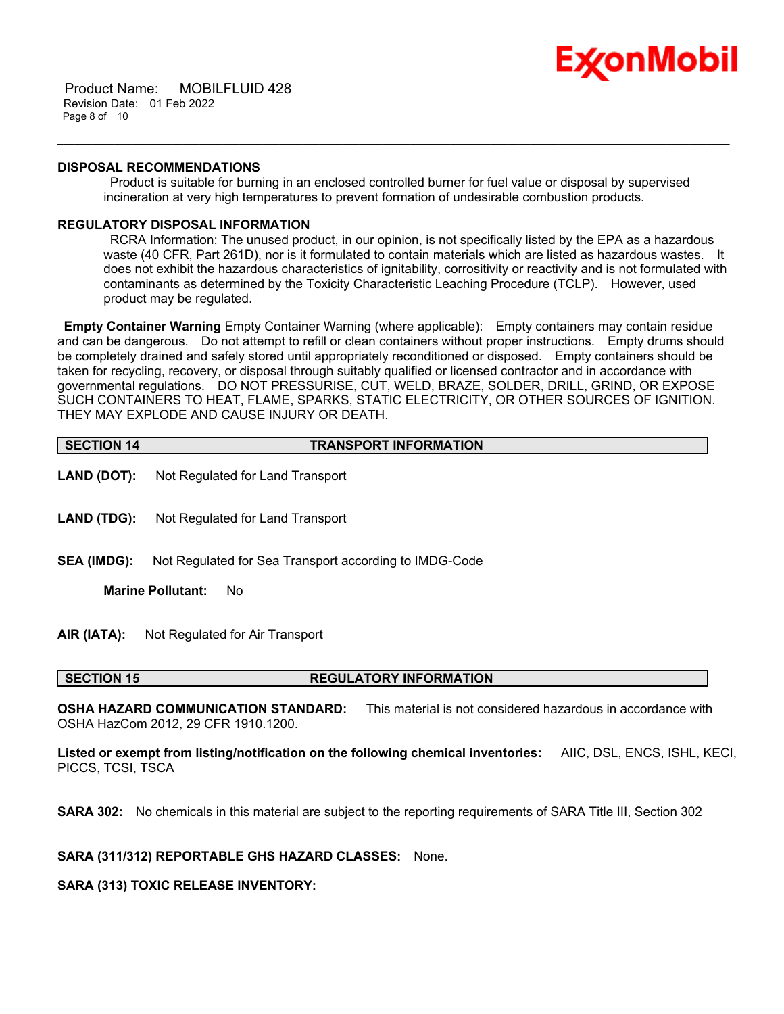

 Product Name: MOBILFLUID 428 Revision Date: 01 Feb 2022 Page 8 of 10

#### **DISPOSAL RECOMMENDATIONS**

Product is suitable for burning in an enclosed controlled burner for fuel value or disposal by supervised incineration at very high temperatures to prevent formation of undesirable combustion products.

\_\_\_\_\_\_\_\_\_\_\_\_\_\_\_\_\_\_\_\_\_\_\_\_\_\_\_\_\_\_\_\_\_\_\_\_\_\_\_\_\_\_\_\_\_\_\_\_\_\_\_\_\_\_\_\_\_\_\_\_\_\_\_\_\_\_\_\_\_\_\_\_\_\_\_\_\_\_\_\_\_\_\_\_\_\_\_\_\_\_\_\_\_\_\_\_\_\_\_\_\_\_\_\_\_\_\_\_\_\_\_\_\_\_\_\_\_\_

### **REGULATORY DISPOSAL INFORMATION**

RCRA Information: The unused product, in our opinion, is not specifically listed by the EPA as a hazardous waste (40 CFR, Part 261D), nor is it formulated to contain materials which are listed as hazardous wastes. It does not exhibit the hazardous characteristics of ignitability, corrositivity or reactivity and is not formulated with contaminants as determined by the Toxicity Characteristic Leaching Procedure (TCLP). However, used product may be regulated.

**Empty Container Warning** Empty Container Warning (where applicable): Empty containers may contain residue and can be dangerous. Do not attempt to refill or clean containers without proper instructions. Empty drums should be completely drained and safely stored until appropriately reconditioned or disposed. Empty containers should be taken for recycling, recovery, or disposal through suitably qualified or licensed contractor and in accordance with governmental regulations. DO NOT PRESSURISE, CUT, WELD, BRAZE, SOLDER, DRILL, GRIND, OR EXPOSE SUCH CONTAINERS TO HEAT, FLAME, SPARKS, STATIC ELECTRICITY, OR OTHER SOURCES OF IGNITION. THEY MAY EXPLODE AND CAUSE INJURY OR DEATH.

| <b>SECTION 14</b>                              | <b>TRANSPORT INFORMATION</b>                           |  |  |
|------------------------------------------------|--------------------------------------------------------|--|--|
| LAND (DOT):                                    | Not Regulated for Land Transport                       |  |  |
| <b>LAND (TDG):</b>                             | Not Regulated for Land Transport                       |  |  |
| <b>SEA (IMDG):</b>                             | Not Regulated for Sea Transport according to IMDG-Code |  |  |
|                                                | <b>Marine Pollutant:</b><br>No.                        |  |  |
| AIR (IATA):<br>Not Regulated for Air Transport |                                                        |  |  |
| <b>SECTION 15</b>                              | <b>REGULATORY INFORMATION</b>                          |  |  |

**OSHA HAZARD COMMUNICATION STANDARD:** This material is not considered hazardous in accordance with OSHA HazCom 2012, 29 CFR 1910.1200.

**Listed or exempt from listing/notification on the following chemical inventories:** AIIC, DSL, ENCS, ISHL, KECI, PICCS, TCSI, TSCA

**SARA 302:** No chemicals in this material are subject to the reporting requirements of SARA Title III, Section 302

**SARA (311/312) REPORTABLE GHS HAZARD CLASSES:** None.

### **SARA (313) TOXIC RELEASE INVENTORY:**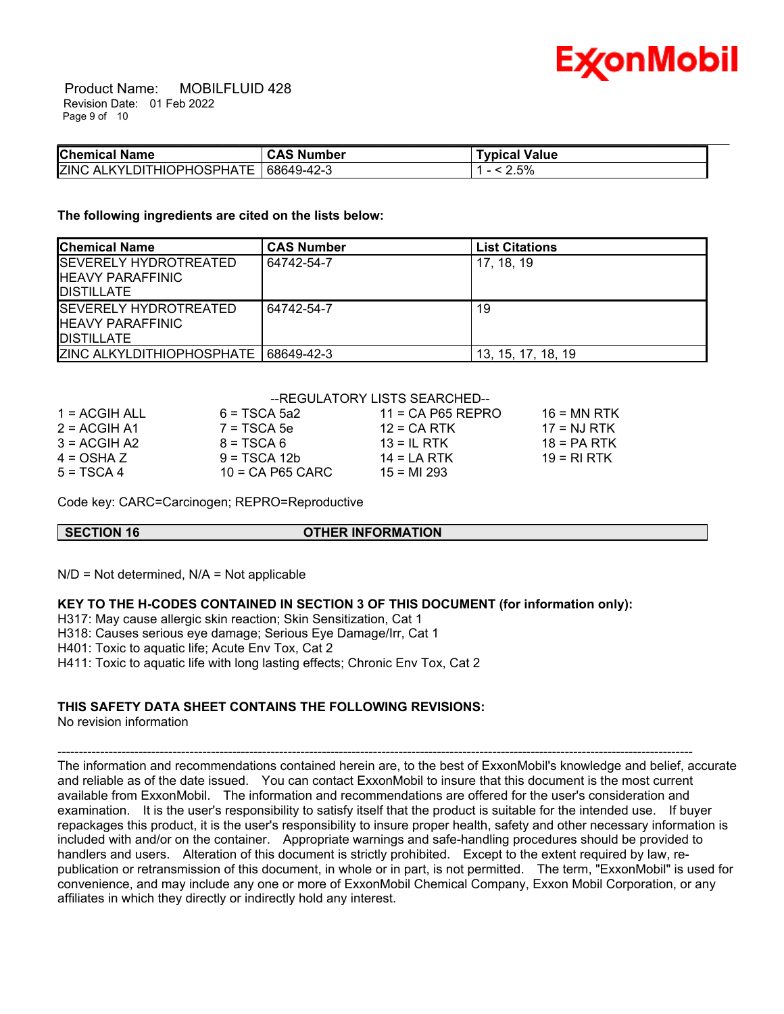

 Product Name: MOBILFLUID 428 Revision Date: 01 Feb 2022 Page 9 of 10

| <b>Chemical Name</b>                            | <b>CAS Number</b> | ™vpical Value |  |
|-------------------------------------------------|-------------------|---------------|--|
| <b>ZINC ALKYLDIT</b><br><b>OPHOSPHATF</b><br>ΉΙ | 68649-42-3        | 2.5%          |  |

#### **The following ingredients are cited on the lists below:**

| <b>Chemical Name</b>                                                           | <b>CAS Number</b> | <b>List Citations</b> |
|--------------------------------------------------------------------------------|-------------------|-----------------------|
| <b>ISEVERELY HYDROTREATED</b><br><b>IHEAVY PARAFFINIC</b><br><b>DISTILLATE</b> | 64742-54-7        | 17, 18, 19            |
| <b>SEVERELY HYDROTREATED</b><br><b>IHEAVY PARAFFINIC</b><br><b>IDISTILLATE</b> | 64742-54-7        | 19                    |
| ZINC ALKYLDITHIOPHOSPHATE   68649-42-3                                         |                   | 13, 15, 17, 18, 19    |

#### --REGULATORY LISTS SEARCHED--

| 1 = ACGIH ALL  | $6 = TSCA$ 5a2     | $11 = CA$ P65 REPRO | $16 = MN$ RTK |
|----------------|--------------------|---------------------|---------------|
| $2 = ACGIH A1$ | $7 = TSCA5e$       | $12$ = CA RTK       | $17 = NJ RTK$ |
| $3 = ACGIH A2$ | $8 = TSCA6$        | $13 = IL$ RTK       | $18 = PA RTK$ |
| $4 = OSHA Z$   | $9 = TSCA 12b$     | $14 = I A RTK$      | 19 = RI RTK   |
| $5 = TSCA4$    | $10 = CA$ P65 CARC | $15 = M1 293$       |               |

Code key: CARC=Carcinogen; REPRO=Reproductive

#### **SECTION 16 OTHER INFORMATION**

 $N/D$  = Not determined,  $N/A$  = Not applicable

#### **KEY TO THE H-CODES CONTAINED IN SECTION 3 OF THIS DOCUMENT (for information only):**

H317: May cause allergic skin reaction; Skin Sensitization, Cat 1

H318: Causes serious eye damage; Serious Eye Damage/Irr, Cat 1

H401: Toxic to aquatic life; Acute Env Tox, Cat 2

H411: Toxic to aquatic life with long lasting effects; Chronic Env Tox, Cat 2

#### **THIS SAFETY DATA SHEET CONTAINS THE FOLLOWING REVISIONS:**

No revision information

-----------------------------------------------------------------------------------------------------------------------------------------------------

The information and recommendations contained herein are, to the best of ExxonMobil's knowledge and belief, accurate and reliable as of the date issued. You can contact ExxonMobil to insure that this document is the most current available from ExxonMobil. The information and recommendations are offered for the user's consideration and examination. It is the user's responsibility to satisfy itself that the product is suitable for the intended use. If buyer repackages this product, it is the user's responsibility to insure proper health, safety and other necessary information is included with and/or on the container. Appropriate warnings and safe-handling procedures should be provided to handlers and users. Alteration of this document is strictly prohibited. Except to the extent required by law, republication or retransmission of this document, in whole or in part, is not permitted. The term, "ExxonMobil" is used for convenience, and may include any one or more of ExxonMobil Chemical Company, Exxon Mobil Corporation, or any affiliates in which they directly or indirectly hold any interest.